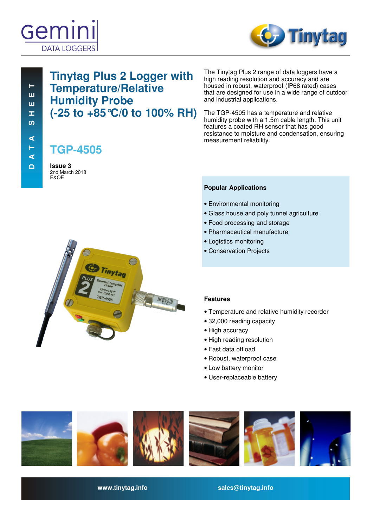



The Tinytag Plus 2 range of data loggers have a high reading resolution and accuracy and are housed in robust, waterproof (IP68 rated) cases that are designed for use in a wide range of outdoor

The TGP-4505 has a temperature and relative humidity probe with a 1.5m cable length. This unit features a coated RH sensor that has good resistance to moisture and condensation, ensuring

# **Tinytag Plus 2 Logger with Temperature/Relative Humidity Probe (-25 to +85°C/0 to 100% RH)**

**TGP-4505**

**Issue 3**  2nd March 2018 E&OE



measurement reliability.

**Popular Applications** 

and industrial applications.

- Environmental monitoring
- Glass house and poly tunnel agriculture
- Food processing and storage
- Pharmaceutical manufacture
- Logistics monitoring
- Conservation Projects

# **Features**

- Temperature and relative humidity recorder
- 32,000 reading capacity
- High accuracy
- High reading resolution
- Fast data offload
- Robust, waterproof case
- Low battery monitor
- User-replaceable battery



**www.tinytag.info sales@tinytag.info**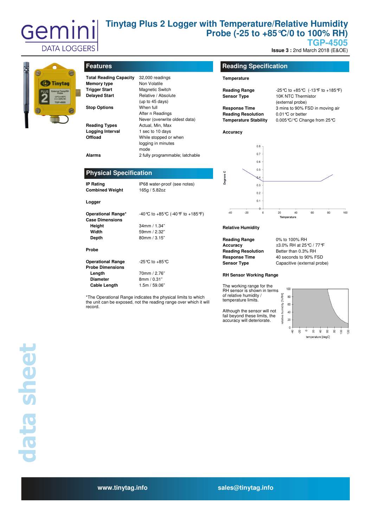

# **Tinytag Plus 2 Logger with Temperature/Relative Humidity Probe (-25 to +85°C/0 to 100% RH)**

**TGP-4505** 

**Issue 3: 2nd March 2018 (E&OE)** 



| <b>Features</b> |  |
|-----------------|--|
|-----------------|--|

| <b>Total Reading Capacity</b><br><b>Memory type</b><br><b>Trigger Start</b><br><b>Delayed Start</b><br><b>Stop Options</b> | 32,000 readings<br>Non Volatile<br><b>Magnetic Switch</b><br>Relative / Absolute<br>(up to $45$ days)<br>When full |
|----------------------------------------------------------------------------------------------------------------------------|--------------------------------------------------------------------------------------------------------------------|
|                                                                                                                            | After n Readings                                                                                                   |
|                                                                                                                            | Never (overwrite oldest data)                                                                                      |
| <b>Reading Types</b>                                                                                                       | Actual, Min, Max                                                                                                   |
| Logging Interval                                                                                                           | 1 sec to 10 days                                                                                                   |
| Offload                                                                                                                    | While stopped or when                                                                                              |
|                                                                                                                            | logging in minutes                                                                                                 |
|                                                                                                                            | mode                                                                                                               |
| Alarms                                                                                                                     | 2 fully programmable; latchable                                                                                    |

# **Reading Specification**

### **Temperature**

| <b>Reading Range</b>         |                                 |    |                    |                             | -25 ℃ to +85 ℃ (-13 °F to +185 °F) |     |  |  |  |  |
|------------------------------|---------------------------------|----|--------------------|-----------------------------|------------------------------------|-----|--|--|--|--|
| <b>Sensor Type</b>           |                                 |    | 10K NTC Thermistor |                             |                                    |     |  |  |  |  |
|                              |                                 |    | (external probe)   |                             |                                    |     |  |  |  |  |
| <b>Response Time</b>         | 3 mins to 90% FSD in moving air |    |                    |                             |                                    |     |  |  |  |  |
|                              | <b>Reading Resolution</b>       |    | 0.01 ℃ or better   |                             |                                    |     |  |  |  |  |
| <b>Temperature Stability</b> |                                 |    |                    | 0.005 ℃/ ℃ Change from 25 ℃ |                                    |     |  |  |  |  |
| Accuracy                     |                                 |    |                    |                             |                                    |     |  |  |  |  |
|                              | 0.8                             |    |                    |                             |                                    |     |  |  |  |  |
|                              | $0.7 -$                         |    |                    |                             |                                    |     |  |  |  |  |
|                              | 0.6                             |    |                    |                             |                                    |     |  |  |  |  |
|                              | 0.5                             |    |                    |                             |                                    |     |  |  |  |  |
| Degrees C                    | $Q_4$                           |    |                    |                             |                                    |     |  |  |  |  |
|                              | 0.3                             |    |                    |                             |                                    |     |  |  |  |  |
|                              | 0.2                             |    |                    |                             |                                    |     |  |  |  |  |
|                              | 0.1                             |    |                    |                             |                                    |     |  |  |  |  |
|                              | A                               |    |                    |                             |                                    |     |  |  |  |  |
| $-40$<br>$-20$               | $\Omega$                        | 20 | 40                 | 60                          | 80                                 | 100 |  |  |  |  |

#### **Relative Humidity**

| <b>Reading Range</b>      |
|---------------------------|
| Accuracy                  |
| <b>Reading Resolution</b> |
| <b>Response Time</b>      |
| <b>Sensor Type</b>        |

**Reading Range** 0% to 100% RH **Accuracy** ±3.0% RH at 25°C / 77°F **Better than 0.3% RH Response Time** 40 seconds to 90% FSD **Capacitive** (external probe)

#### **RH Sensor Working Range**

The working range for the RH sensor is shown in terms of relative humidity / temperature limits.

Although the sensor will not fail beyond these limits, the accuracy will deteriorate.



**Operational Range\*** -40°C to +85°C (-40°F to +185°F) **Case Dimensions**

**Probe** 

**Logger** 

**Width** 59mm / 2.32" **Depth** 80mm / 3.15" **Operational Range** -25℃ to +85℃ **Probe Dimensions** 

**Height** 34mm / 1.34"

**Length** 70mm / 2.76"<br> **Diameter** 8mm / 0.31" **Diameter** 8mm / 0.31" **Cable Length** 1.5m / 59.06"

**IP Rating IP68 water-proof (see notes)** 

**Combined Weight** 165g / 5.82oz

**Physical Specification** 

\*The Operational Range indicates the physical limits to which the unit can be exposed, not the reading range over which it will record.